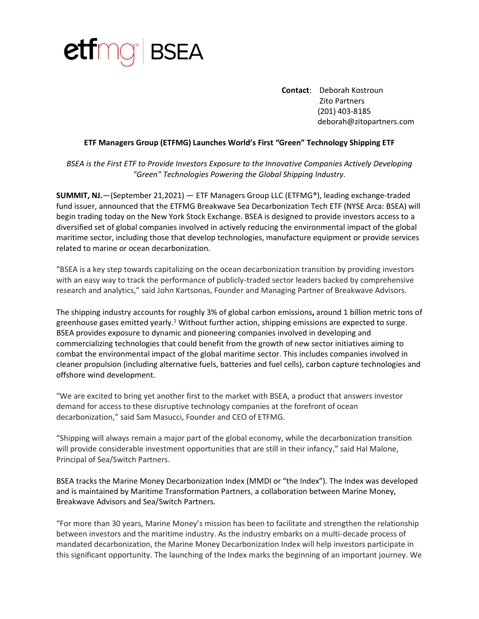

**Contact**: Deborah Kostroun Zito Partners (201) 403-8185 deborah@zitopartners.com

## **ETF Managers Group (ETFMG) Launches World's First "Green" Technology Shipping ETF**

*BSEA is the First ETF to Provide Investors Exposure to the Innovative Companies Actively Developing "Green" Technologies Powering the Global Shipping Industry.*

**SUMMIT, NJ.**—(September 21,2021) — ETF Managers Group LLC (ETFMG®), leading exchange-traded fund issuer, announced that the ETFMG Breakwave Sea Decarbonization Tech ETF (NYSE Arca: BSEA) will begin trading today on the New York Stock Exchange. BSEA is designed to provide investors access to a diversified set of global companies involved in actively reducing the environmental impact of the global maritime sector, including those that develop technologies, manufacture equipment or provide services related to marine or ocean decarbonization.

"BSEA is a key step towards capitalizing on the ocean decarbonization transition by providing investors with an easy way to track the performance of publicly-traded sector leaders backed by comprehensive research and analytics," said John Kartsonas, Founder and Managing Partner of Breakwave Advisors.

The shipping industry accounts for roughly 3% of global carbon emissions**,** around 1 billion metric tons of greenhouse gases emitted yearly.<sup>1</sup> Without further action, shipping emissions are expected to surge. BSEA provides exposure to dynamic and pioneering companies involved in developing and commercializing technologies that could benefit from the growth of new sector initiatives aiming to combat the environmental impact of the global maritime sector. This includes companies involved in cleaner propulsion (including alternative fuels, batteries and fuel cells), carbon capture technologies and offshore wind development.

"We are excited to bring yet another first to the market with BSEA, a product that answers investor demand for access to these disruptive technology companies at the forefront of ocean decarbonization," said Sam Masucci, Founder and CEO of ETFMG.

"Shipping will always remain a major part of the global economy, while the decarbonization transition will provide considerable investment opportunities that are still in their infancy," said Hal Malone, Principal of Sea/Switch Partners.

BSEA tracks the Marine Money Decarbonization Index (MMDI or "the Index"). The Index was developed and is maintained by Maritime Transformation Partners, a collaboration between Marine Money, Breakwave Advisors and Sea/Switch Partners.

"For more than 30 years, Marine Money's mission has been to facilitate and strengthen the relationship between investors and the maritime industry. As the industry embarks on a multi-decade process of mandated decarbonization, the Marine Money Decarbonization Index will help investors participate in this significant opportunity. The launching of the Index marks the beginning of an important journey. We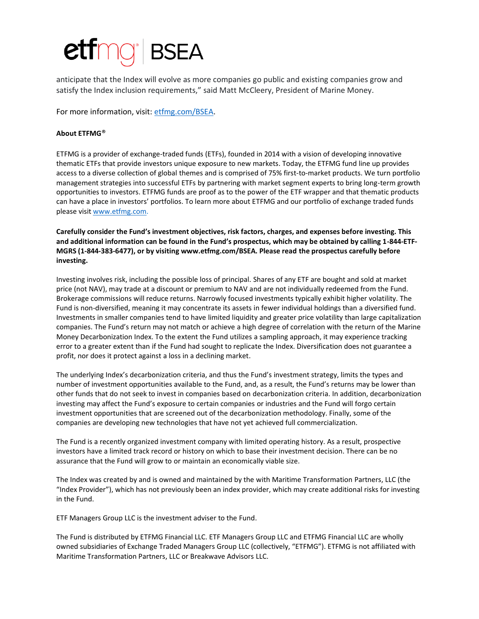## BSEA

anticipate that the Index will evolve as more companies go public and existing companies grow and satisfy the Index inclusion requirements," said Matt McCleery, President of Marine Money.

For more information, visit: [etfmg.com/BSEA.](http://www.etfmg.com/bsea)

## **About ETFMG**®

ETFMG is a provider of exchange-traded funds (ETFs), founded in 2014 with a vision of developing innovative thematic ETFs that provide investors unique exposure to new markets. Today, the ETFMG fund line up provides access to a diverse collection of global themes and is comprised of 75% first-to-market products. We turn portfolio management strategies into successful ETFs by partnering with market segment experts to bring long-term growth opportunities to investors. ETFMG funds are proof as to the power of the ETF wrapper and that thematic products can have a place in investors' portfolios. To learn more about ETFMG and our portfolio of exchange traded funds please visit [www.etfmg.com.](http://www.etfmg.com/)

**Carefully consider the Fund's investment objectives, risk factors, charges, and expenses before investing. This and additional information can be found in the Fund's prospectus, which may be obtained by calling 1-844-ETF-MGRS (1-844-383-6477), or by visiting www.etfmg.com/BSEA. Please read the prospectus carefully before investing.**

Investing involves risk, including the possible loss of principal. Shares of any ETF are bought and sold at market price (not NAV), may trade at a discount or premium to NAV and are not individually redeemed from the Fund. Brokerage commissions will reduce returns. Narrowly focused investments typically exhibit higher volatility. The Fund is non-diversified, meaning it may concentrate its assets in fewer individual holdings than a diversified fund. Investments in smaller companies tend to have limited liquidity and greater price volatility than large capitalization companies. The Fund's return may not match or achieve a high degree of correlation with the return of the Marine Money Decarbonization Index. To the extent the Fund utilizes a sampling approach, it may experience tracking error to a greater extent than if the Fund had sought to replicate the Index. Diversification does not guarantee a profit, nor does it protect against a loss in a declining market.

The underlying Index's decarbonization criteria, and thus the Fund's investment strategy, limits the types and number of investment opportunities available to the Fund, and, as a result, the Fund's returns may be lower than other funds that do not seek to invest in companies based on decarbonization criteria. In addition, decarbonization investing may affect the Fund's exposure to certain companies or industries and the Fund will forgo certain investment opportunities that are screened out of the decarbonization methodology. Finally, some of the companies are developing new technologies that have not yet achieved full commercialization.

The Fund is a recently organized investment company with limited operating history. As a result, prospective investors have a limited track record or history on which to base their investment decision. There can be no assurance that the Fund will grow to or maintain an economically viable size.

The Index was created by and is owned and maintained by the with Maritime Transformation Partners, LLC (the "Index Provider"), which has not previously been an index provider, which may create additional risks for investing in the Fund.

ETF Managers Group LLC is the investment adviser to the Fund.

The Fund is distributed by ETFMG Financial LLC. ETF Managers Group LLC and ETFMG Financial LLC are wholly owned subsidiaries of Exchange Traded Managers Group LLC (collectively, "ETFMG"). ETFMG is not affiliated with Maritime Transformation Partners, LLC or Breakwave Advisors LLC.